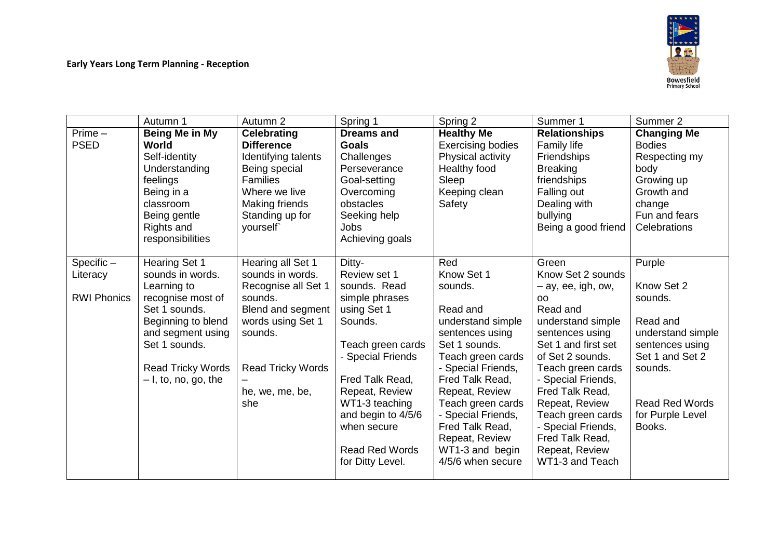

|                    | Autumn 1                 | Autumn 2                 | Spring 1              | Spring 2                             | Summer 1                          | Summer 2              |
|--------------------|--------------------------|--------------------------|-----------------------|--------------------------------------|-----------------------------------|-----------------------|
| $Prime -$          | Being Me in My           | <b>Celebrating</b>       | <b>Dreams and</b>     | <b>Healthy Me</b>                    | <b>Relationships</b>              | <b>Changing Me</b>    |
| <b>PSED</b>        | World                    | <b>Difference</b>        | <b>Goals</b>          | <b>Exercising bodies</b>             | Family life                       | <b>Bodies</b>         |
|                    | Self-identity            | Identifying talents      | Challenges            | Physical activity                    | <b>Friendships</b>                | Respecting my         |
|                    | Understanding            | Being special            | Perseverance          | Healthy food                         | <b>Breaking</b>                   | body                  |
|                    | feelings                 | <b>Families</b>          | Goal-setting          | Sleep                                | friendships                       | Growing up            |
|                    | Being in a               | Where we live            | Overcoming            | Keeping clean                        | Falling out                       | Growth and            |
|                    | classroom                | Making friends           | obstacles             | Safety                               | Dealing with                      | change                |
|                    | Being gentle             | Standing up for          | Seeking help          |                                      | bullying                          | Fun and fears         |
|                    | Rights and               | yourself`                | <b>Jobs</b>           |                                      | Being a good friend               | Celebrations          |
|                    | responsibilities         |                          | Achieving goals       |                                      |                                   |                       |
|                    |                          |                          |                       |                                      |                                   |                       |
| $Specific -$       | <b>Hearing Set 1</b>     | Hearing all Set 1        | Ditty-                | Red                                  | Green                             | Purple                |
| Literacy           | sounds in words.         | sounds in words.         | Review set 1          | Know Set 1                           | Know Set 2 sounds                 |                       |
|                    | Learning to              | Recognise all Set 1      | sounds. Read          | sounds.                              | $-$ ay, ee, igh, ow,              | Know Set 2            |
| <b>RWI Phonics</b> | recognise most of        | sounds.                  | simple phrases        |                                      | <b>OO</b>                         | sounds.               |
|                    | Set 1 sounds.            | Blend and segment        | using Set 1           | Read and                             | Read and                          |                       |
|                    | Beginning to blend       | words using Set 1        | Sounds.               | understand simple                    | understand simple                 | Read and              |
|                    | and segment using        | sounds.                  |                       | sentences using                      | sentences using                   | understand simple     |
|                    | Set 1 sounds.            |                          | Teach green cards     | Set 1 sounds.                        | Set 1 and first set               | sentences using       |
|                    |                          |                          | - Special Friends     | Teach green cards                    | of Set 2 sounds.                  | Set 1 and Set 2       |
|                    | <b>Read Tricky Words</b> | <b>Read Tricky Words</b> |                       | - Special Friends,                   | Teach green cards                 | sounds.               |
|                    | $-1$ , to, no, go, the   |                          | Fred Talk Read,       | Fred Talk Read,                      | - Special Friends,                |                       |
|                    |                          | he, we, me, be,          | Repeat, Review        | Repeat, Review                       | Fred Talk Read,                   |                       |
|                    |                          | she                      | WT1-3 teaching        | Teach green cards                    | Repeat, Review                    | <b>Read Red Words</b> |
|                    |                          |                          | and begin to 4/5/6    | - Special Friends,                   | Teach green cards                 | for Purple Level      |
|                    |                          |                          | when secure           | Fred Talk Read,                      | - Special Friends,                | Books.                |
|                    |                          |                          |                       | Repeat, Review                       | Fred Talk Read,                   |                       |
|                    |                          |                          | <b>Read Red Words</b> | WT1-3 and begin<br>4/5/6 when secure | Repeat, Review<br>WT1-3 and Teach |                       |
|                    |                          |                          | for Ditty Level.      |                                      |                                   |                       |
|                    |                          |                          |                       |                                      |                                   |                       |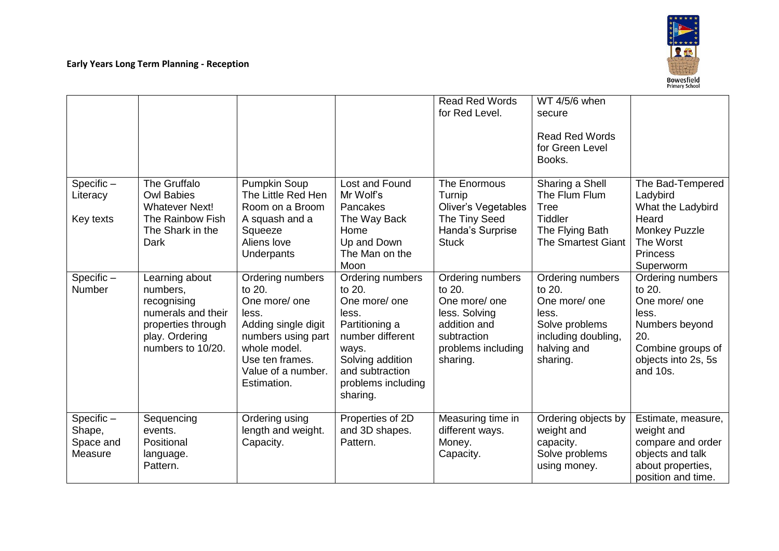|                                                |                                                                                                                              |                                                                                                                                                                           |                                                                                                                                                                              | <b>Read Red Words</b><br>for Red Level.                                                                                       | WT 4/5/6 when<br>secure<br><b>Read Red Words</b><br>for Green Level<br>Books.                                            |                                                                                                                                       |
|------------------------------------------------|------------------------------------------------------------------------------------------------------------------------------|---------------------------------------------------------------------------------------------------------------------------------------------------------------------------|------------------------------------------------------------------------------------------------------------------------------------------------------------------------------|-------------------------------------------------------------------------------------------------------------------------------|--------------------------------------------------------------------------------------------------------------------------|---------------------------------------------------------------------------------------------------------------------------------------|
| Specific-<br>Literacy<br>Key texts             | The Gruffalo<br><b>Owl Babies</b><br><b>Whatever Next!</b><br>The Rainbow Fish<br>The Shark in the<br>Dark                   | Pumpkin Soup<br>The Little Red Hen<br>Room on a Broom<br>A squash and a<br>Squeeze<br>Aliens love<br>Underpants                                                           | Lost and Found<br>Mr Wolf's<br>Pancakes<br>The Way Back<br>Home<br>Up and Down<br>The Man on the<br>Moon                                                                     | The Enormous<br>Turnip<br><b>Oliver's Vegetables</b><br>The Tiny Seed<br>Handa's Surprise<br><b>Stuck</b>                     | Sharing a Shell<br>The Flum Flum<br><b>Tree</b><br><b>Tiddler</b><br>The Flying Bath<br><b>The Smartest Giant</b>        | The Bad-Tempered<br>Ladybird<br>What the Ladybird<br>Heard<br>Monkey Puzzle<br>The Worst<br>Princess<br>Superworm                     |
| Specific-<br>Number                            | Learning about<br>numbers,<br>recognising<br>numerals and their<br>properties through<br>play. Ordering<br>numbers to 10/20. | Ordering numbers<br>to 20.<br>One more/ one<br>less.<br>Adding single digit<br>numbers using part<br>whole model.<br>Use ten frames.<br>Value of a number.<br>Estimation. | Ordering numbers<br>to 20.<br>One more/ one<br>less.<br>Partitioning a<br>number different<br>ways.<br>Solving addition<br>and subtraction<br>problems including<br>sharing. | Ordering numbers<br>to 20.<br>One more/ one<br>less. Solving<br>addition and<br>subtraction<br>problems including<br>sharing. | Ordering numbers<br>to 20.<br>One more/ one<br>less.<br>Solve problems<br>including doubling,<br>halving and<br>sharing. | Ordering numbers<br>to 20.<br>One more/ one<br>less.<br>Numbers beyond<br>20.<br>Combine groups of<br>objects into 2s, 5s<br>and 10s. |
| $Specific -$<br>Shape,<br>Space and<br>Measure | Sequencing<br>events.<br>Positional<br>language.<br>Pattern.                                                                 | Ordering using<br>length and weight.<br>Capacity.                                                                                                                         | Properties of 2D<br>and 3D shapes.<br>Pattern.                                                                                                                               | Measuring time in<br>different ways.<br>Money.<br>Capacity.                                                                   | Ordering objects by<br>weight and<br>capacity.<br>Solve problems<br>using money.                                         | Estimate, measure,<br>weight and<br>compare and order<br>objects and talk<br>about properties,<br>position and time.                  |